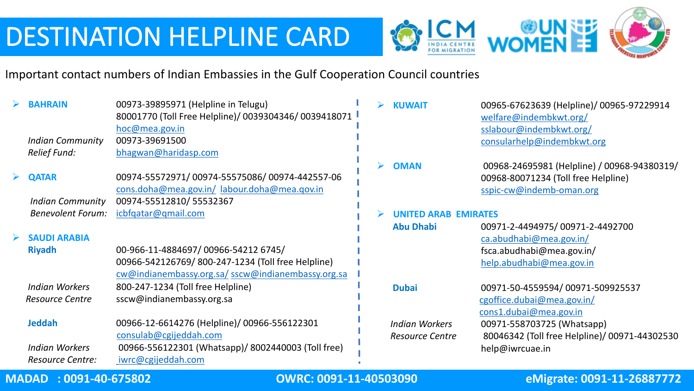



Important contact numbers of Indian Embassies in the Gulf Cooperation Council countries

| consularhelp@indembkwt.org<br>$\blacktriangleright$<br><b>OMAN</b><br>00968-24695981 (Helpline) / 00968-94380319/<br>00968-80071234 (Toll free Helpline)<br>sspic-cw@indemb-oman.org<br><b>UNITED ARAB EMIRATES</b> |
|---------------------------------------------------------------------------------------------------------------------------------------------------------------------------------------------------------------------|
|                                                                                                                                                                                                                     |
|                                                                                                                                                                                                                     |
|                                                                                                                                                                                                                     |
|                                                                                                                                                                                                                     |
|                                                                                                                                                                                                                     |
|                                                                                                                                                                                                                     |
|                                                                                                                                                                                                                     |
| 00971-2-4494975/00971-2-4492700<br><b>Abu Dhabi</b>                                                                                                                                                                 |
| ca.abudhabi@mea.gov.in/                                                                                                                                                                                             |
| fsca.abudhabi@mea.gov.in/                                                                                                                                                                                           |
| help.abudhabi@mea.gov.in                                                                                                                                                                                            |
|                                                                                                                                                                                                                     |
| 00971-50-4559594/00971-509925537<br><b>Dubai</b>                                                                                                                                                                    |
|                                                                                                                                                                                                                     |
|                                                                                                                                                                                                                     |
| <b>Indian Workers</b>                                                                                                                                                                                               |
| 80046342 (Toll free Helpline)/ 00971-44302530                                                                                                                                                                       |
|                                                                                                                                                                                                                     |
|                                                                                                                                                                                                                     |
| cgoffice.dubai@mea.gov.in/<br>cons1.dubai@mea.gov.in<br>00971-558703725 (Whatsapp)<br><b>Resource Centre</b><br>help@iwrcuae.in                                                                                     |

## **MADAD : 0091-40-675802 OWRC: 0091-11-40503090 eMigrate: 0091-11-26887772**